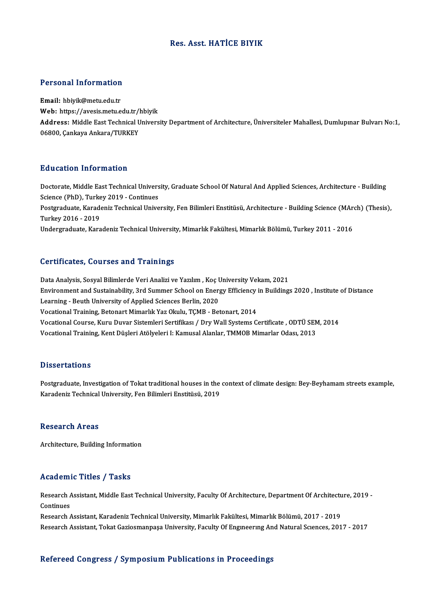## Res. Asst.HATİCE BIYIK

# Personal Information

Personal Information<br>Email: hbiyik@metu.edu.tr<br>Web: https://avesis.metu.e r eroonar meer macron<br>Email: hbiyik@metu.edu.tr<br>Web: https://avesis.metu.edu.tr/hbiyik<br>Address: Middle Eest Technical Univers Email: hbiyik@metu.edu.tr<br>Web: https://avesis.metu.edu.tr/hbiyik<br>Address: Middle East Technical University Department of Architecture, Üniversiteler Mahallesi, Dumlupınar Bulvarı No:1,<br>06800, Cankava Ankara/TURKEY Web: https://avesis.metu.edu.tr/l<br>Address: Middle East Technical U<br>06800, Çankaya Ankara/TURKEY

#### Education Information

Education Information<br>Doctorate, Middle East Technical University, Graduate School Of Natural And Applied Sciences, Architecture - Building<br>Science (PhD), Turkey 2019, Continues Buusation Information<br>Doctorate, Middle East Technical Univers<br>Science (PhD), Turkey 2019 - Continues<br>Bestavaduate Karadeniz Technical Unive Doctorate, Middle East Technical University, Graduate School Of Natural And Applied Sciences, Architecture - Building<br>Science (PhD), Turkey 2019 - Continues<br>Postgraduate, Karadeniz Technical University, Fen Bilimleri Ensti Science (PhD), Turkey 2019 - Continues<br>Postgraduate, Karadeniz Technical University, Fen Bilimleri Enstitüsü, Architecture - Building Science (MAr<br>Turkey 2016 - 2019<br>Undergraduate, Karadeniz Technical University, Mimarlık Postgraduate, Karadeniz Technical University, Fen Bilimleri Enstitüsü, Architecture - Building Science (MArch) (Thesis),

#### Certificates, Courses and Trainings

Data Analysis, Sosyal Bilimlerde Veri Analizi ve Yazılım, Koç University Vekam, 2021 Bert Irreates, Godrices and Trammigs<br>Data Analysis, Sosyal Bilimlerde Veri Analizi ve Yazılım , Koç University Vekam, 2021<br>Environment and Sustainability, 3rd Summer School on Energy Efficiency in Buildings 2020 , Institut Data Analysis, Sosyal Bilimlerde Veri Analizi ve Yazılım , Koç U<br>Environment and Sustainability, 3rd Summer School on Ener<sub>l</sub><br>Learning - Beuth University of Applied Sciences Berlin, 2020<br>Vesstional Training, Betenart Mimar Environment and Sustainability, 3rd Summer School on Energy Efficiency<br>Learning - Beuth University of Applied Sciences Berlin, 2020<br>Vocational Training, Betonart Mimarlık Yaz Okulu, TÇMB - Betonart, 2014<br>Vocational Course, Learning - Beuth University of Applied Sciences Berlin, 2020<br>Vocational Training, Betonart Mimarlık Yaz Okulu, TÇMB - Betonart, 2014<br>Vocational Course, Kuru Duvar Sistemleri Sertifikası / Dry Wall Systems Certificate , ODT Vocational Training, Betonart Mimarlık Yaz Okulu, TÇMB - Betonart, 2014<br>Vocational Course, Kuru Duvar Sistemleri Sertifikası / Dry Wall Systems Certificate , ODTÜ SEN<br>Vocational Training, Kent Düşleri Atölyeleri I: Kamusal Vocational Training, Kent Düşleri Atölyeleri I: Kamusal Alanlar, TMMOB Mimarlar Odası, 2013<br>Dissertations

Postgraduate, Investigation of Tokat traditional houses in the context of climate design: Bey-Beyhamam streets example, Karadeniz Technical University, Fen Bilimleri Enstitüsü, 2019

#### **Research Areas**

Architecture, Building Information

#### Academic Titles / Tasks

Academic Titles / Tasks<br>Research Assistant, Middle East Technical University, Faculty Of Architecture, Department Of Architecture, 2019 -<br>Continues Research A<br>Continues<br>Research Continues<br>Research Assistant, Karadeniz Technical University, Mimarlık Fakültesi, Mimarlık Bölümü, 2017 - 2019

Research Assistant, Tokat Gaziosmanpaşa University, Faculty Of Engineering And Natural Sciences, 2017 - 2017

## Refereed Congress / Symposium Publications in Proceedings